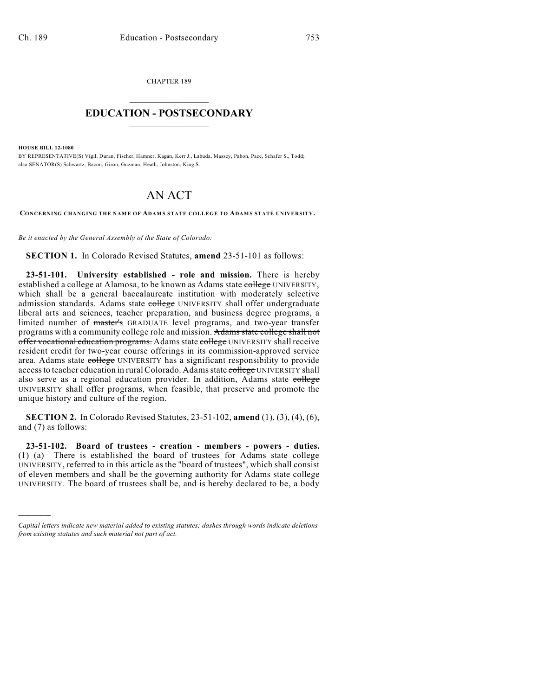CHAPTER 189  $\mathcal{L}_\text{max}$  . The set of the set of the set of the set of the set of the set of the set of the set of the set of the set of the set of the set of the set of the set of the set of the set of the set of the set of the set

## **EDUCATION - POSTSECONDARY**  $\frac{1}{2}$  ,  $\frac{1}{2}$  ,  $\frac{1}{2}$  ,  $\frac{1}{2}$  ,  $\frac{1}{2}$  ,  $\frac{1}{2}$  ,  $\frac{1}{2}$

**HOUSE BILL 12-1080**

)))))

BY REPRESENTATIVE(S) Vigil, Duran, Fischer, Hamner, Kagan, Kerr J., Labuda, Massey, Pabon, Pace, Schafer S., Todd; also SENATOR(S) Schwartz, Bacon, Giron, Guzman, Heath, Johnston, King S.

# AN ACT

**CONCERNING CHANGING THE NAME OF ADAMS STATE COLLEGE TO ADAMS STATE UNIVERSITY.**

*Be it enacted by the General Assembly of the State of Colorado:*

**SECTION 1.** In Colorado Revised Statutes, **amend** 23-51-101 as follows:

**23-51-101. University established - role and mission.** There is hereby established a college at Alamosa, to be known as Adams state college UNIVERSITY, which shall be a general baccalaureate institution with moderately selective admission standards. Adams state college UNIVERSITY shall offer undergraduate liberal arts and sciences, teacher preparation, and business degree programs, a limited number of master's GRADUATE level programs, and two-year transfer programs with a community college role and mission. Adams state college shall not offer vocational education programs. Adams state college UNIVERSITY shall receive resident credit for two-year course offerings in its commission-approved service area. Adams state college UNIVERSITY has a significant responsibility to provide access to teacher education in rural Colorado. Adams state college UNIVERSITY shall also serve as a regional education provider. In addition, Adams state college UNIVERSITY shall offer programs, when feasible, that preserve and promote the unique history and culture of the region.

**SECTION 2.** In Colorado Revised Statutes, 23-51-102, **amend** (1), (3), (4), (6), and (7) as follows:

**23-51-102. Board of trustees - creation - members - powers - duties.** (1) (a) There is established the board of trustees for Adams state  $\frac{1}{2}$ UNIVERSITY, referred to in this article as the "board of trustees", which shall consist of eleven members and shall be the governing authority for Adams state college UNIVERSITY. The board of trustees shall be, and is hereby declared to be, a body

*Capital letters indicate new material added to existing statutes; dashes through words indicate deletions from existing statutes and such material not part of act.*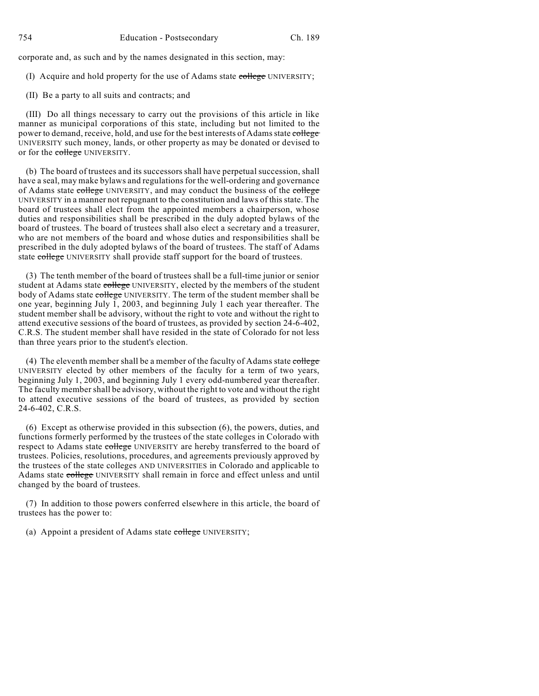corporate and, as such and by the names designated in this section, may:

- (I) Acquire and hold property for the use of Adams state college UNIVERSITY;
- (II) Be a party to all suits and contracts; and

(III) Do all things necessary to carry out the provisions of this article in like manner as municipal corporations of this state, including but not limited to the power to demand, receive, hold, and use for the best interests of Adams state college UNIVERSITY such money, lands, or other property as may be donated or devised to or for the college UNIVERSITY.

(b) The board of trustees and its successors shall have perpetual succession, shall have a seal, may make bylaws and regulations for the well-ordering and governance of Adams state college UNIVERSITY, and may conduct the business of the college UNIVERSITY in a manner not repugnant to the constitution and laws of this state. The board of trustees shall elect from the appointed members a chairperson, whose duties and responsibilities shall be prescribed in the duly adopted bylaws of the board of trustees. The board of trustees shall also elect a secretary and a treasurer, who are not members of the board and whose duties and responsibilities shall be prescribed in the duly adopted bylaws of the board of trustees. The staff of Adams state college UNIVERSITY shall provide staff support for the board of trustees.

(3) The tenth member of the board of trustees shall be a full-time junior or senior student at Adams state college UNIVERSITY, elected by the members of the student body of Adams state college UNIVERSITY. The term of the student member shall be one year, beginning July 1, 2003, and beginning July 1 each year thereafter. The student member shall be advisory, without the right to vote and without the right to attend executive sessions of the board of trustees, as provided by section 24-6-402, C.R.S. The student member shall have resided in the state of Colorado for not less than three years prior to the student's election.

(4) The eleventh member shall be a member of the faculty of Adams state college UNIVERSITY elected by other members of the faculty for a term of two years, beginning July 1, 2003, and beginning July 1 every odd-numbered year thereafter. The faculty member shall be advisory, without the right to vote and without the right to attend executive sessions of the board of trustees, as provided by section 24-6-402, C.R.S.

(6) Except as otherwise provided in this subsection (6), the powers, duties, and functions formerly performed by the trustees of the state colleges in Colorado with respect to Adams state college UNIVERSITY are hereby transferred to the board of trustees. Policies, resolutions, procedures, and agreements previously approved by the trustees of the state colleges AND UNIVERSITIES in Colorado and applicable to Adams state college UNIVERSITY shall remain in force and effect unless and until changed by the board of trustees.

(7) In addition to those powers conferred elsewhere in this article, the board of trustees has the power to:

(a) Appoint a president of Adams state college UNIVERSITY;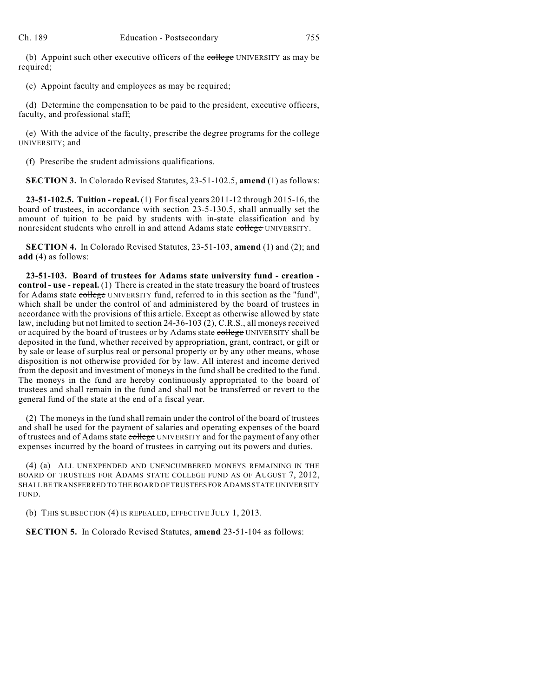(b) Appoint such other executive officers of the college UNIVERSITY as may be required;

(c) Appoint faculty and employees as may be required;

(d) Determine the compensation to be paid to the president, executive officers, faculty, and professional staff;

(e) With the advice of the faculty, prescribe the degree programs for the college UNIVERSITY; and

(f) Prescribe the student admissions qualifications.

**SECTION 3.** In Colorado Revised Statutes, 23-51-102.5, **amend** (1) as follows:

**23-51-102.5. Tuition - repeal.** (1) For fiscal years 2011-12 through 2015-16, the board of trustees, in accordance with section 23-5-130.5, shall annually set the amount of tuition to be paid by students with in-state classification and by nonresident students who enroll in and attend Adams state college UNIVERSITY.

**SECTION 4.** In Colorado Revised Statutes, 23-51-103, **amend** (1) and (2); and **add** (4) as follows:

**23-51-103. Board of trustees for Adams state university fund - creation control - use - repeal.** (1) There is created in the state treasury the board of trustees for Adams state college UNIVERSITY fund, referred to in this section as the "fund", which shall be under the control of and administered by the board of trustees in accordance with the provisions of this article. Except as otherwise allowed by state law, including but not limited to section 24-36-103 (2), C.R.S., all moneys received or acquired by the board of trustees or by Adams state college UNIVERSITY shall be deposited in the fund, whether received by appropriation, grant, contract, or gift or by sale or lease of surplus real or personal property or by any other means, whose disposition is not otherwise provided for by law. All interest and income derived from the deposit and investment of moneys in the fund shall be credited to the fund. The moneys in the fund are hereby continuously appropriated to the board of trustees and shall remain in the fund and shall not be transferred or revert to the general fund of the state at the end of a fiscal year.

(2) The moneys in the fund shall remain under the control of the board of trustees and shall be used for the payment of salaries and operating expenses of the board of trustees and of Adams state college UNIVERSITY and for the payment of any other expenses incurred by the board of trustees in carrying out its powers and duties.

(4) (a) ALL UNEXPENDED AND UNENCUMBERED MONEYS REMAINING IN THE BOARD OF TRUSTEES FOR ADAMS STATE COLLEGE FUND AS OF AUGUST 7, 2012, SHALL BE TRANSFERRED TO THE BOARD OF TRUSTEES FOR ADAMS STATE UNIVERSITY FUND.

(b) THIS SUBSECTION (4) IS REPEALED, EFFECTIVE JULY 1, 2013.

**SECTION 5.** In Colorado Revised Statutes, **amend** 23-51-104 as follows: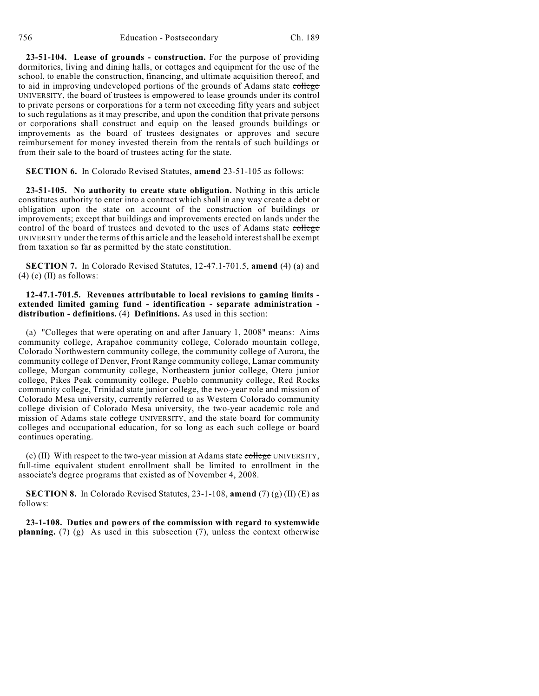**23-51-104. Lease of grounds - construction.** For the purpose of providing dormitories, living and dining halls, or cottages and equipment for the use of the school, to enable the construction, financing, and ultimate acquisition thereof, and to aid in improving undeveloped portions of the grounds of Adams state college UNIVERSITY, the board of trustees is empowered to lease grounds under its control to private persons or corporations for a term not exceeding fifty years and subject to such regulations as it may prescribe, and upon the condition that private persons or corporations shall construct and equip on the leased grounds buildings or improvements as the board of trustees designates or approves and secure reimbursement for money invested therein from the rentals of such buildings or from their sale to the board of trustees acting for the state.

#### **SECTION 6.** In Colorado Revised Statutes, **amend** 23-51-105 as follows:

**23-51-105. No authority to create state obligation.** Nothing in this article constitutes authority to enter into a contract which shall in any way create a debt or obligation upon the state on account of the construction of buildings or improvements; except that buildings and improvements erected on lands under the control of the board of trustees and devoted to the uses of Adams state college UNIVERSITY under the terms of this article and the leasehold interestshall be exempt from taxation so far as permitted by the state constitution.

**SECTION 7.** In Colorado Revised Statutes, 12-47.1-701.5, **amend** (4) (a) and  $(4)$  (c) (II) as follows:

### **12-47.1-701.5. Revenues attributable to local revisions to gaming limits extended limited gaming fund - identification - separate administration distribution - definitions.** (4) **Definitions.** As used in this section:

(a) "Colleges that were operating on and after January 1, 2008" means: Aims community college, Arapahoe community college, Colorado mountain college, Colorado Northwestern community college, the community college of Aurora, the community college of Denver, Front Range community college, Lamar community college, Morgan community college, Northeastern junior college, Otero junior college, Pikes Peak community college, Pueblo community college, Red Rocks community college, Trinidad state junior college, the two-year role and mission of Colorado Mesa university, currently referred to as Western Colorado community college division of Colorado Mesa university, the two-year academic role and mission of Adams state college UNIVERSITY, and the state board for community colleges and occupational education, for so long as each such college or board continues operating.

(c) (II) With respect to the two-year mission at Adams state  $\frac{1}{\text{coker}}$  UNIVERSITY, full-time equivalent student enrollment shall be limited to enrollment in the associate's degree programs that existed as of November 4, 2008.

**SECTION 8.** In Colorado Revised Statutes,  $23-1-108$ , **amend** (7) (g) (II) (E) as follows:

**23-1-108. Duties and powers of the commission with regard to systemwide planning.** (7) (g) As used in this subsection (7), unless the context otherwise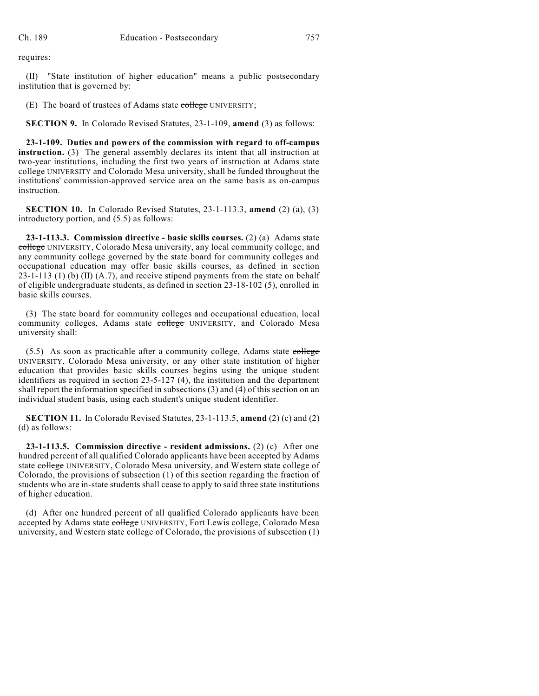requires:

(II) "State institution of higher education" means a public postsecondary institution that is governed by:

(E) The board of trustees of Adams state college UNIVERSITY;

**SECTION 9.** In Colorado Revised Statutes, 23-1-109, **amend** (3) as follows:

**23-1-109. Duties and powers of the commission with regard to off-campus instruction.** (3) The general assembly declares its intent that all instruction at two-year institutions, including the first two years of instruction at Adams state college UNIVERSITY and Colorado Mesa university, shall be funded throughout the institutions' commission-approved service area on the same basis as on-campus instruction.

**SECTION 10.** In Colorado Revised Statutes, 23-1-113.3, **amend** (2) (a), (3) introductory portion, and (5.5) as follows:

**23-1-113.3. Commission directive - basic skills courses.** (2) (a) Adams state college UNIVERSITY, Colorado Mesa university, any local community college, and any community college governed by the state board for community colleges and occupational education may offer basic skills courses, as defined in section 23-1-113 (1) (b) (II) (A.7), and receive stipend payments from the state on behalf of eligible undergraduate students, as defined in section 23-18-102 (5), enrolled in basic skills courses.

(3) The state board for community colleges and occupational education, local community colleges, Adams state college UNIVERSITY, and Colorado Mesa university shall:

(5.5) As soon as practicable after a community college, Adams state college UNIVERSITY, Colorado Mesa university, or any other state institution of higher education that provides basic skills courses begins using the unique student identifiers as required in section 23-5-127 (4), the institution and the department shall report the information specified in subsections (3) and (4) of this section on an individual student basis, using each student's unique student identifier.

**SECTION 11.** In Colorado Revised Statutes, 23-1-113.5, **amend** (2) (c) and (2) (d) as follows:

**23-1-113.5. Commission directive - resident admissions.** (2) (c) After one hundred percent of all qualified Colorado applicants have been accepted by Adams state college UNIVERSITY, Colorado Mesa university, and Western state college of Colorado, the provisions of subsection (1) of this section regarding the fraction of students who are in-state students shall cease to apply to said three state institutions of higher education.

(d) After one hundred percent of all qualified Colorado applicants have been accepted by Adams state college UNIVERSITY, Fort Lewis college, Colorado Mesa university, and Western state college of Colorado, the provisions of subsection (1)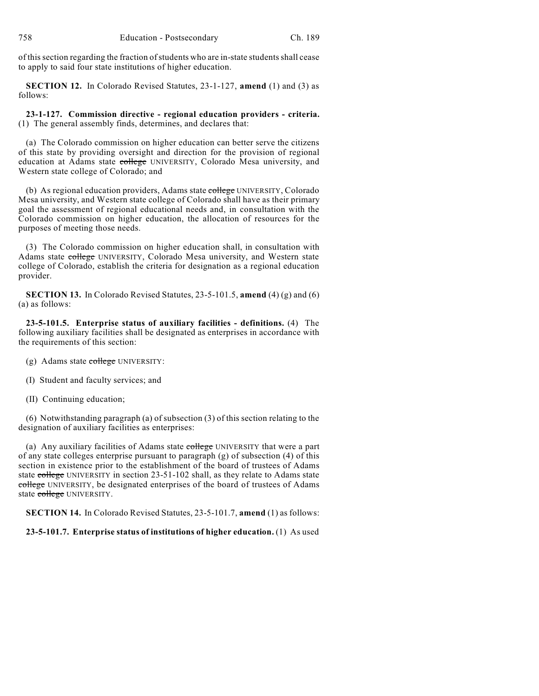of this section regarding the fraction of students who are in-state students shall cease to apply to said four state institutions of higher education.

**SECTION 12.** In Colorado Revised Statutes, 23-1-127, **amend** (1) and (3) as follows:

**23-1-127. Commission directive - regional education providers - criteria.** (1) The general assembly finds, determines, and declares that:

(a) The Colorado commission on higher education can better serve the citizens of this state by providing oversight and direction for the provision of regional education at Adams state college UNIVERSITY, Colorado Mesa university, and Western state college of Colorado; and

(b) As regional education providers, Adams state college UNIVERSITY, Colorado Mesa university, and Western state college of Colorado shall have as their primary goal the assessment of regional educational needs and, in consultation with the Colorado commission on higher education, the allocation of resources for the purposes of meeting those needs.

(3) The Colorado commission on higher education shall, in consultation with Adams state college UNIVERSITY, Colorado Mesa university, and Western state college of Colorado, establish the criteria for designation as a regional education provider.

**SECTION 13.** In Colorado Revised Statutes, 23-5-101.5, **amend** (4) (g) and (6) (a) as follows:

**23-5-101.5. Enterprise status of auxiliary facilities - definitions.** (4) The following auxiliary facilities shall be designated as enterprises in accordance with the requirements of this section:

- (g) Adams state college UNIVERSITY:
- (I) Student and faculty services; and
- (II) Continuing education;

(6) Notwithstanding paragraph (a) of subsection (3) of this section relating to the designation of auxiliary facilities as enterprises:

(a) Any auxiliary facilities of Adams state college UNIVERSITY that were a part of any state colleges enterprise pursuant to paragraph (g) of subsection (4) of this section in existence prior to the establishment of the board of trustees of Adams state college UNIVERSITY in section 23-51-102 shall, as they relate to Adams state college UNIVERSITY, be designated enterprises of the board of trustees of Adams state college UNIVERSITY.

**SECTION 14.** In Colorado Revised Statutes, 23-5-101.7, **amend** (1) as follows:

# **23-5-101.7. Enterprise status of institutions of higher education.** (1) As used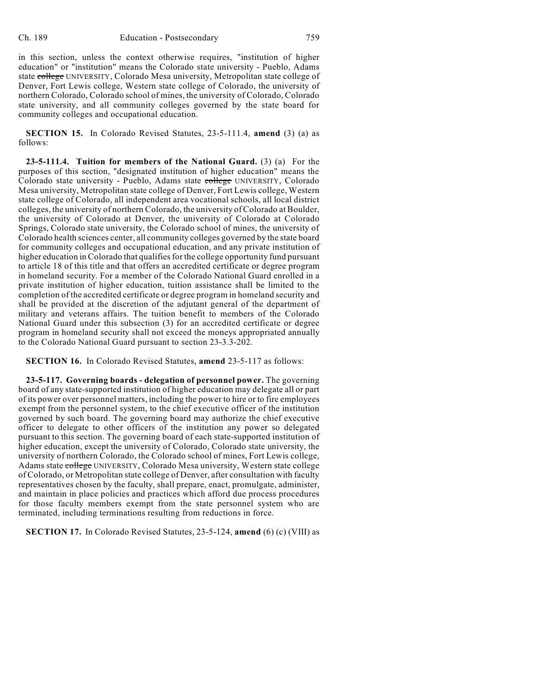in this section, unless the context otherwise requires, "institution of higher education" or "institution" means the Colorado state university - Pueblo, Adams state college UNIVERSITY, Colorado Mesa university, Metropolitan state college of Denver, Fort Lewis college, Western state college of Colorado, the university of northern Colorado, Colorado school of mines, the university of Colorado, Colorado state university, and all community colleges governed by the state board for community colleges and occupational education.

**SECTION 15.** In Colorado Revised Statutes, 23-5-111.4, **amend** (3) (a) as follows:

**23-5-111.4. Tuition for members of the National Guard.** (3) (a) For the purposes of this section, "designated institution of higher education" means the Colorado state university - Pueblo, Adams state college UNIVERSITY, Colorado Mesa university, Metropolitan state college of Denver, Fort Lewis college, Western state college of Colorado, all independent area vocational schools, all local district colleges, the university of northern Colorado, the university of Colorado at Boulder, the university of Colorado at Denver, the university of Colorado at Colorado Springs, Colorado state university, the Colorado school of mines, the university of Colorado health sciences center, all community colleges governed by the state board for community colleges and occupational education, and any private institution of higher education in Colorado that qualifies for the college opportunity fund pursuant to article 18 of this title and that offers an accredited certificate or degree program in homeland security. For a member of the Colorado National Guard enrolled in a private institution of higher education, tuition assistance shall be limited to the completion of the accredited certificate or degree program in homeland security and shall be provided at the discretion of the adjutant general of the department of military and veterans affairs. The tuition benefit to members of the Colorado National Guard under this subsection (3) for an accredited certificate or degree program in homeland security shall not exceed the moneys appropriated annually to the Colorado National Guard pursuant to section 23-3.3-202.

**SECTION 16.** In Colorado Revised Statutes, **amend** 23-5-117 as follows:

**23-5-117. Governing boards - delegation of personnel power.** The governing board of any state-supported institution of higher education may delegate all or part of its power over personnel matters, including the power to hire or to fire employees exempt from the personnel system, to the chief executive officer of the institution governed by such board. The governing board may authorize the chief executive officer to delegate to other officers of the institution any power so delegated pursuant to this section. The governing board of each state-supported institution of higher education, except the university of Colorado, Colorado state university, the university of northern Colorado, the Colorado school of mines, Fort Lewis college, Adams state college UNIVERSITY, Colorado Mesa university, Western state college of Colorado, or Metropolitan state college of Denver, after consultation with faculty representatives chosen by the faculty, shall prepare, enact, promulgate, administer, and maintain in place policies and practices which afford due process procedures for those faculty members exempt from the state personnel system who are terminated, including terminations resulting from reductions in force.

**SECTION 17.** In Colorado Revised Statutes, 23-5-124, **amend** (6) (c) (VIII) as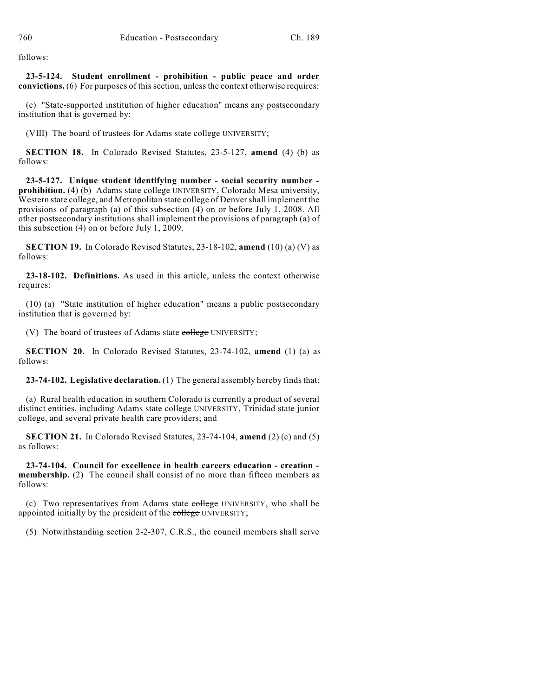follows:

**23-5-124. Student enrollment - prohibition - public peace and order convictions.** (6) For purposes of this section, unless the context otherwise requires:

(c) "State-supported institution of higher education" means any postsecondary institution that is governed by:

(VIII) The board of trustees for Adams state college UNIVERSITY;

**SECTION 18.** In Colorado Revised Statutes, 23-5-127, **amend** (4) (b) as follows:

**23-5-127. Unique student identifying number - social security number**  prohibition. (4) (b) Adams state college UNIVERSITY, Colorado Mesa university, Western state college, and Metropolitan state college of Denvershall implement the provisions of paragraph (a) of this subsection (4) on or before July 1, 2008. All other postsecondary institutions shall implement the provisions of paragraph (a) of this subsection (4) on or before July 1, 2009.

**SECTION 19.** In Colorado Revised Statutes, 23-18-102, **amend** (10) (a) (V) as follows:

**23-18-102. Definitions.** As used in this article, unless the context otherwise requires:

(10) (a) "State institution of higher education" means a public postsecondary institution that is governed by:

(V) The board of trustees of Adams state college UNIVERSITY;

**SECTION 20.** In Colorado Revised Statutes, 23-74-102, **amend** (1) (a) as follows:

**23-74-102. Legislative declaration.** (1) The general assembly hereby finds that:

(a) Rural health education in southern Colorado is currently a product of several distinct entities, including Adams state college UNIVERSITY, Trinidad state junior college, and several private health care providers; and

**SECTION 21.** In Colorado Revised Statutes, 23-74-104, **amend** (2) (c) and (5) as follows:

**23-74-104. Council for excellence in health careers education - creation membership.** (2) The council shall consist of no more than fifteen members as follows:

(c) Two representatives from Adams state college UNIVERSITY, who shall be appointed initially by the president of the college UNIVERSITY;

(5) Notwithstanding section 2-2-307, C.R.S., the council members shall serve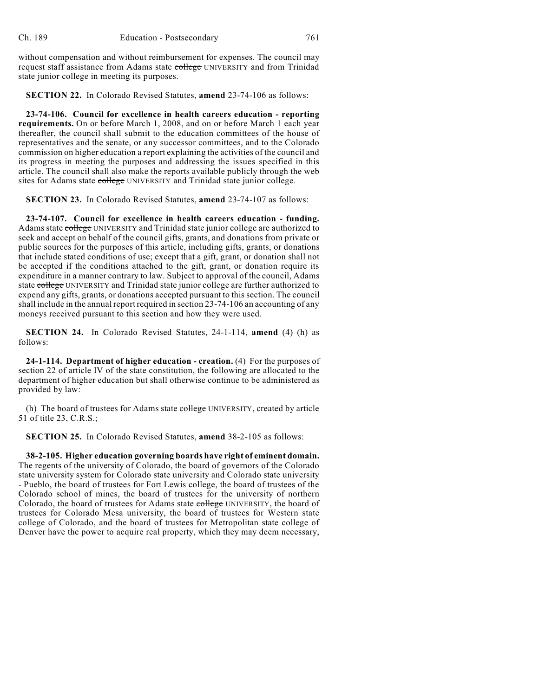without compensation and without reimbursement for expenses. The council may request staff assistance from Adams state college UNIVERSITY and from Trinidad state junior college in meeting its purposes.

**SECTION 22.** In Colorado Revised Statutes, **amend** 23-74-106 as follows:

**23-74-106. Council for excellence in health careers education - reporting requirements.** On or before March 1, 2008, and on or before March 1 each year thereafter, the council shall submit to the education committees of the house of representatives and the senate, or any successor committees, and to the Colorado commission on higher education a report explaining the activities of the council and its progress in meeting the purposes and addressing the issues specified in this article. The council shall also make the reports available publicly through the web sites for Adams state college UNIVERSITY and Trinidad state junior college.

**SECTION 23.** In Colorado Revised Statutes, **amend** 23-74-107 as follows:

**23-74-107. Council for excellence in health careers education - funding.** Adams state college UNIVERSITY and Trinidad state junior college are authorized to seek and accept on behalf of the council gifts, grants, and donations from private or public sources for the purposes of this article, including gifts, grants, or donations that include stated conditions of use; except that a gift, grant, or donation shall not be accepted if the conditions attached to the gift, grant, or donation require its expenditure in a manner contrary to law. Subject to approval of the council, Adams state college UNIVERSITY and Trinidad state junior college are further authorized to expend any gifts, grants, or donations accepted pursuant to this section. The council shall include in the annual report required in section 23-74-106 an accounting of any moneys received pursuant to this section and how they were used.

**SECTION 24.** In Colorado Revised Statutes, 24-1-114, **amend** (4) (h) as follows:

**24-1-114. Department of higher education - creation.** (4) For the purposes of section 22 of article IV of the state constitution, the following are allocated to the department of higher education but shall otherwise continue to be administered as provided by law:

(h) The board of trustees for Adams state college UNIVERSITY, created by article 51 of title 23, C.R.S.;

**SECTION 25.** In Colorado Revised Statutes, **amend** 38-2-105 as follows:

**38-2-105. Higher education governing boards have right of eminent domain.** The regents of the university of Colorado, the board of governors of the Colorado state university system for Colorado state university and Colorado state university - Pueblo, the board of trustees for Fort Lewis college, the board of trustees of the Colorado school of mines, the board of trustees for the university of northern Colorado, the board of trustees for Adams state college UNIVERSITY, the board of trustees for Colorado Mesa university, the board of trustees for Western state college of Colorado, and the board of trustees for Metropolitan state college of Denver have the power to acquire real property, which they may deem necessary,